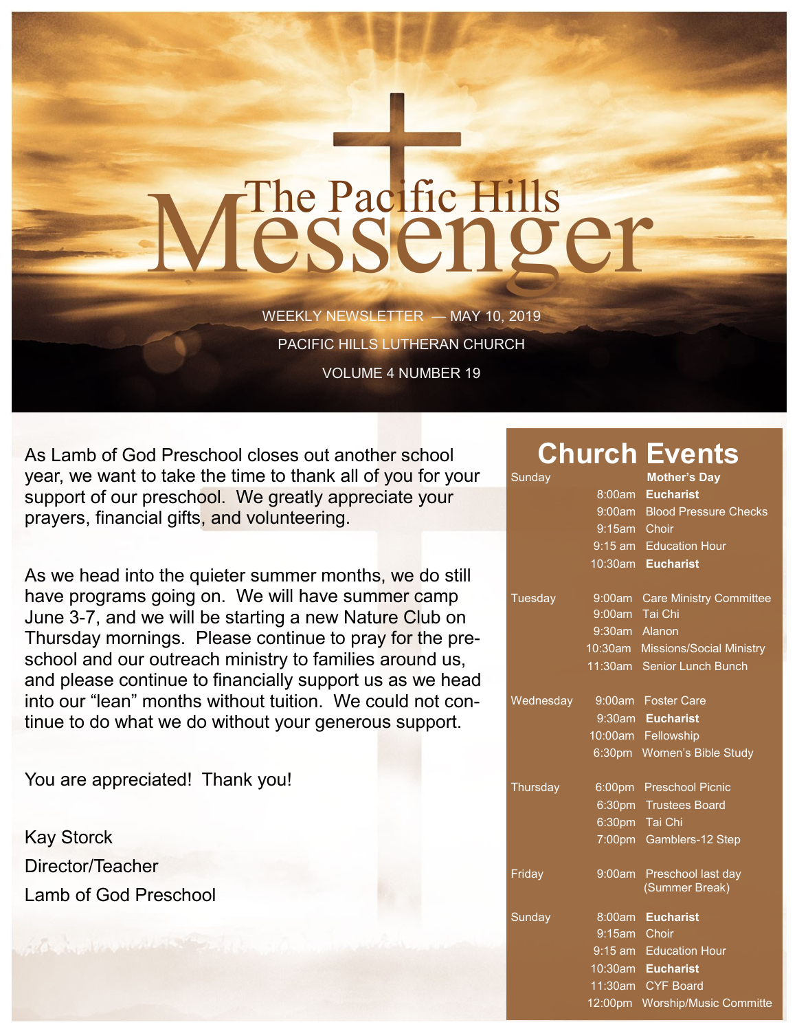## The Pacific Hills<br>Jessenger

WEEKLY NEWSLETTER — MAY 10, 2019 PACIFIC HILLS LUTHERAN CHURCH VOLUME 4 NUMBER 19

As Lamb of God Preschool closes out another school year, we want to take the time to thank all of you for your support of our preschool. We greatly appreciate your prayers, financial gifts, and volunteering.

As we head into the quieter summer months, we do still have programs going on. We will have summer camp June 3-7, and we will be starting a new Nature Club on Thursday mornings. Please continue to pray for the preschool and our outreach ministry to families around us, and please continue to financially support us as we head into our "lean" months without tuition. We could not continue to do what we do without your generous support.

You are appreciated! Thank you!

Kay Storck Director/Teacher Lamb of God Preschool

## **Church Events**

| Sunday    |                | <b>Mother's Day</b>                  |
|-----------|----------------|--------------------------------------|
|           | 8:00am         | <b>Eucharist</b>                     |
|           | 9:00am         | <b>Blood Pressure Checks</b>         |
|           | 9:15am Choir   |                                      |
|           | $9:15$ am      | <b>Education Hour</b>                |
|           | 10:30am        | <b>Eucharist</b>                     |
| Tuesday   | 9:00am         | <b>Care Ministry Committee</b>       |
|           | 9:00am Tai Chi |                                      |
|           | 9:30am Alanon  |                                      |
|           |                | 10:30am Missions/Social Ministry     |
|           |                | 11:30am Senior Lunch Bunch           |
| Wednesday |                | 9:00am Foster Care                   |
|           |                | 9:30am Eucharist                     |
|           |                | 10:00am Fellowship                   |
|           |                | 6:30pm Women's Bible Study           |
| Thursday  |                | 6:00pm Preschool Picnic              |
|           | 6:30pm         | <b>Trustees Board</b>                |
|           |                | 6:30pm Tai Chi                       |
|           |                | 7:00pm Gamblers-12 Step              |
| Friday    | 9:00am         | Preschool last day<br>(Summer Break) |
| Sunday    | 8:00am         | <b>Eucharist</b>                     |
|           | 9:15am         | Choir                                |
|           |                | 9:15 am Education Hour               |
|           | 10:30am        | <b>Eucharist</b>                     |
|           | 11:30am        | <b>CYF Board</b>                     |
|           | 12:00pm        | <b>Worship/Music Committe</b>        |